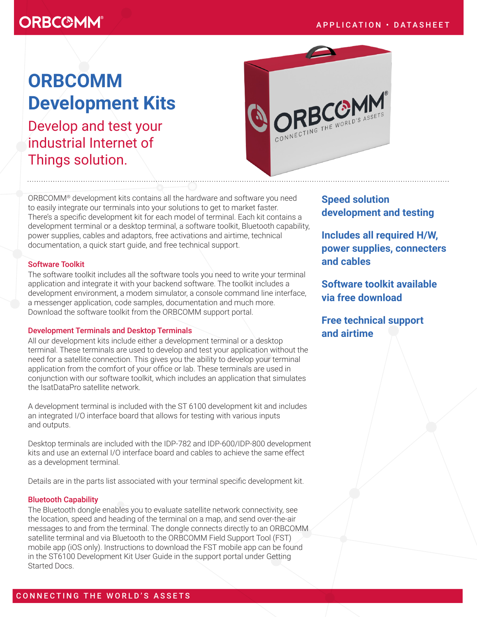# **ORBCOMM®**

# **ORBCOMM Development Kits**

Develop and test your industrial Internet of Things solution.



ORBCOMM® development kits contains all the hardware and software you need to easily integrate our terminals into your solutions to get to market faster. There's a specific development kit for each model of terminal. Each kit contains a development terminal or a desktop terminal, a software toolkit, Bluetooth capability, power supplies, cables and adaptors, free activations and airtime, technical documentation, a quick start guide, and free technical support.

#### Software Toolkit

The software toolkit includes all the software tools you need to write your terminal application and integrate it with your backend software. The toolkit includes a development environment, a modem simulator, a console command line interface, a messenger application, code samples, documentation and much more. Download the software toolkit from the ORBCOMM support portal.

#### Development Terminals and Desktop Terminals

All our development kits include either a development terminal or a desktop terminal. These terminals are used to develop and test your application without the need for a satellite connection. This gives you the ability to develop your terminal application from the comfort of your office or lab. These terminals are used in conjunction with our software toolkit, which includes an application that simulates the IsatDataPro satellite network.

A development terminal is included with the ST 6100 development kit and includes an integrated I/O interface board that allows for testing with various inputs and outputs.

Desktop terminals are included with the IDP-782 and IDP-600/IDP-800 development kits and use an external I/O interface board and cables to achieve the same effect as a development terminal.

Details are in the parts list associated with your terminal specific development kit.

#### Bluetooth Capability

The Bluetooth dongle enables you to evaluate satellite network connectivity, see the location, speed and heading of the terminal on a map, and send over-the-air messages to and from the terminal. The dongle connects directly to an ORBCOMM satellite terminal and via Bluetooth to the ORBCOMM Field Support Tool (FST) mobile app (iOS only). Instructions to download the FST mobile app can be found in the ST6100 Development Kit User Guide in the support portal under Getting Started Docs.

## **Speed solution development and testing**

**Includes all required H/W, power supplies, connecters and cables**

**Software toolkit available via free download**

**Free technical support and airtime**